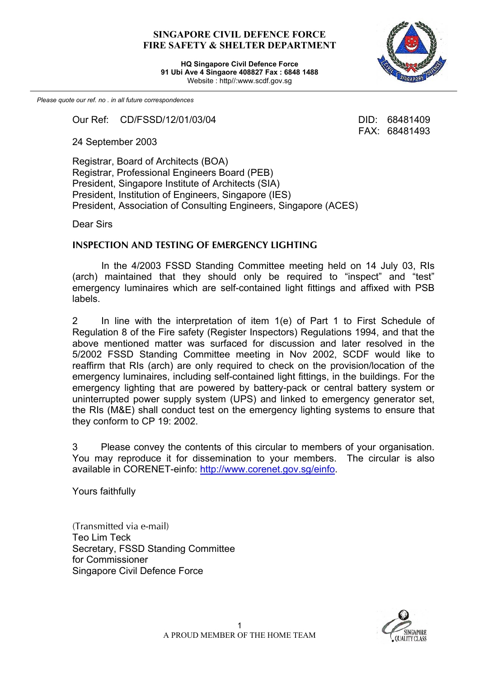## **SINGAPORE CIVIL DEFENCE FORCE FIRE SAFETY & SHELTER DEPARTMENT**

**HQ Singapore Civil Defence Force 91 Ubi Ave 4 Singaore 408827 Fax : 6848 1488** Website : http//:www.scdf.gov.sg



FAX: 68481493

*Please quote our ref. no . in all future correspondences*

Our Ref: CD/FSSD/12/01/03/04 DID: 68481409

24 September 2003

Registrar, Board of Architects (BOA) Registrar, Professional Engineers Board (PEB) President, Singapore Institute of Architects (SIA) President, Institution of Engineers, Singapore (IES) President, Association of Consulting Engineers, Singapore (ACES)

Dear Sirs

## **INSPECTION AND TESTING OF EMERGENCY LIGHTING**

In the 4/2003 FSSD Standing Committee meeting held on 14 July 03, RIs (arch) maintained that they should only be required to "inspect" and "test" emergency luminaires which are self-contained light fittings and affixed with PSB labels.

2 In line with the interpretation of item 1(e) of Part 1 to First Schedule of Regulation 8 of the Fire safety (Register Inspectors) Regulations 1994, and that the above mentioned matter was surfaced for discussion and later resolved in the 5/2002 FSSD Standing Committee meeting in Nov 2002, SCDF would like to reaffirm that RIs (arch) are only required to check on the provision/location of the emergency luminaires, including self-contained light fittings, in the buildings. For the emergency lighting that are powered by battery-pack or central battery system or uninterrupted power supply system (UPS) and linked to emergency generator set, the RIs (M&E) shall conduct test on the emergency lighting systems to ensure that they conform to CP 19: 2002.

3 Please convey the contents of this circular to members of your organisation. You may reproduce it for dissemination to your members. The circular is also available in CORENET-einfo: http://www.corenet.gov.sg/einfo.

Yours faithfully

(Transmitted via e-mail) Teo Lim Teck Secretary, FSSD Standing Committee for Commissioner Singapore Civil Defence Force